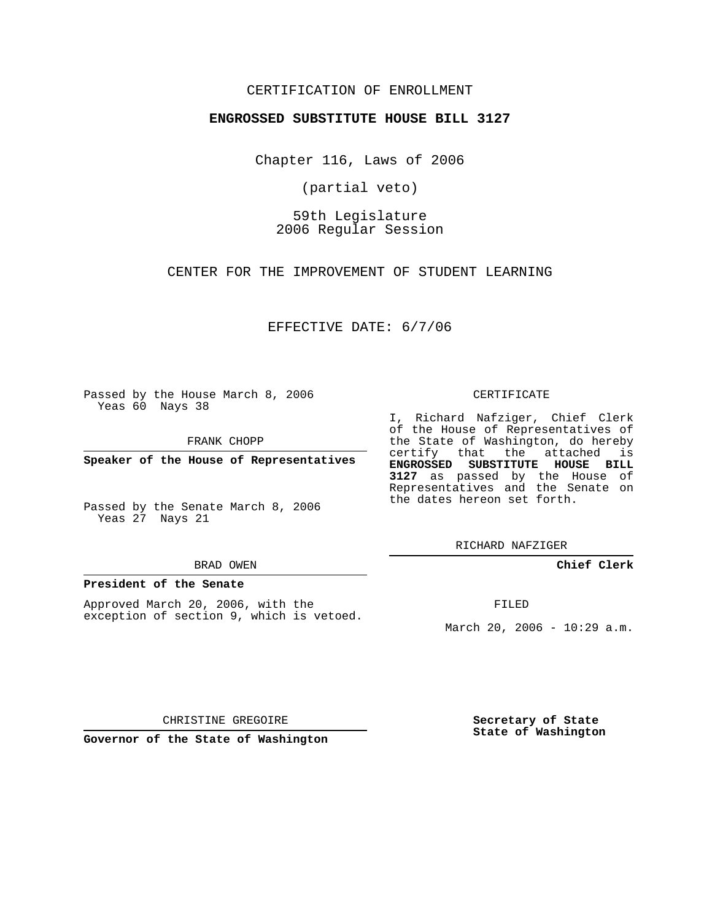## CERTIFICATION OF ENROLLMENT

### **ENGROSSED SUBSTITUTE HOUSE BILL 3127**

Chapter 116, Laws of 2006

(partial veto)

59th Legislature 2006 Regular Session

CENTER FOR THE IMPROVEMENT OF STUDENT LEARNING

EFFECTIVE DATE: 6/7/06

Passed by the House March 8, 2006 Yeas 60 Nays 38

FRANK CHOPP

**Speaker of the House of Representatives**

Passed by the Senate March 8, 2006 Yeas 27 Nays 21

#### BRAD OWEN

## **President of the Senate**

Approved March 20, 2006, with the exception of section 9, which is vetoed.

#### CERTIFICATE

I, Richard Nafziger, Chief Clerk of the House of Representatives of the State of Washington, do hereby certify that the attached is **ENGROSSED SUBSTITUTE HOUSE BILL 3127** as passed by the House of Representatives and the Senate on the dates hereon set forth.

RICHARD NAFZIGER

**Chief Clerk**

FILED

March 20, 2006 - 10:29 a.m.

CHRISTINE GREGOIRE

**Governor of the State of Washington**

**Secretary of State State of Washington**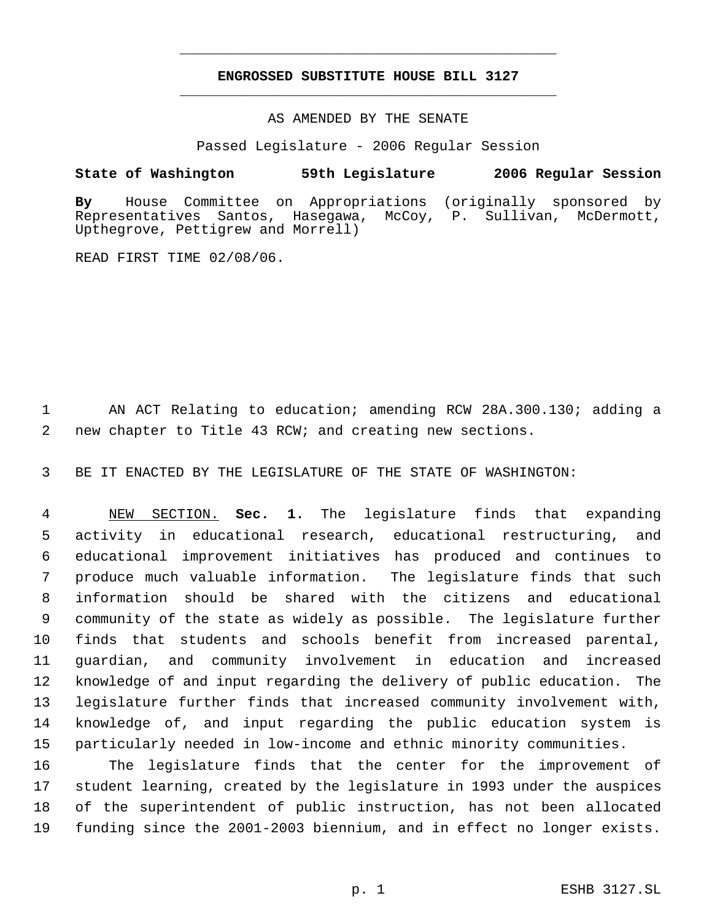# **ENGROSSED SUBSTITUTE HOUSE BILL 3127** \_\_\_\_\_\_\_\_\_\_\_\_\_\_\_\_\_\_\_\_\_\_\_\_\_\_\_\_\_\_\_\_\_\_\_\_\_\_\_\_\_\_\_\_\_

\_\_\_\_\_\_\_\_\_\_\_\_\_\_\_\_\_\_\_\_\_\_\_\_\_\_\_\_\_\_\_\_\_\_\_\_\_\_\_\_\_\_\_\_\_

AS AMENDED BY THE SENATE

Passed Legislature - 2006 Regular Session

# **State of Washington 59th Legislature 2006 Regular Session**

**By** House Committee on Appropriations (originally sponsored by Santos, Hasegawa, McCoy, P. Sullivan, McDermott, Upthegrove, Pettigrew and Morrell)

READ FIRST TIME 02/08/06.

 AN ACT Relating to education; amending RCW 28A.300.130; adding a new chapter to Title 43 RCW; and creating new sections.

BE IT ENACTED BY THE LEGISLATURE OF THE STATE OF WASHINGTON:

 NEW SECTION. **Sec. 1.** The legislature finds that expanding activity in educational research, educational restructuring, and educational improvement initiatives has produced and continues to produce much valuable information. The legislature finds that such information should be shared with the citizens and educational community of the state as widely as possible. The legislature further finds that students and schools benefit from increased parental, guardian, and community involvement in education and increased knowledge of and input regarding the delivery of public education. The legislature further finds that increased community involvement with, knowledge of, and input regarding the public education system is particularly needed in low-income and ethnic minority communities.

 The legislature finds that the center for the improvement of student learning, created by the legislature in 1993 under the auspices of the superintendent of public instruction, has not been allocated funding since the 2001-2003 biennium, and in effect no longer exists.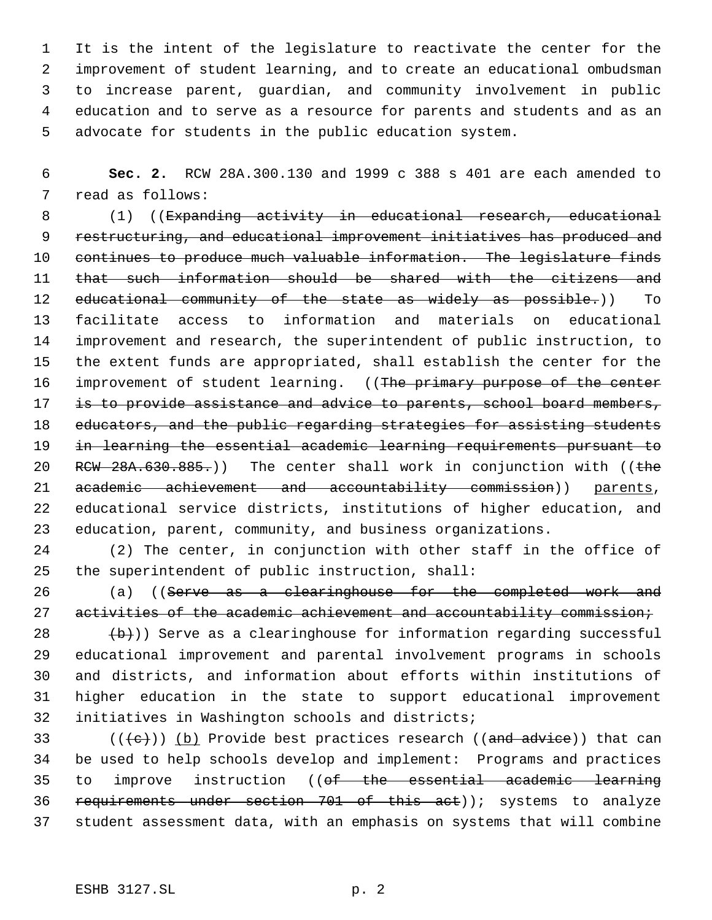It is the intent of the legislature to reactivate the center for the improvement of student learning, and to create an educational ombudsman to increase parent, guardian, and community involvement in public education and to serve as a resource for parents and students and as an advocate for students in the public education system.

 **Sec. 2.** RCW 28A.300.130 and 1999 c 388 s 401 are each amended to read as follows:

8 (1) ((Expanding activity in educational research, educational 9 restructuring, and educational improvement initiatives has produced and continues to produce much valuable information. The legislature finds that such information should be shared with the citizens and 12 educational community of the state as widely as possible.)) To facilitate access to information and materials on educational improvement and research, the superintendent of public instruction, to the extent funds are appropriated, shall establish the center for the 16 improvement of student learning. ((The primary purpose of the center 17 is to provide assistance and advice to parents, school board members, 18 educators, and the public regarding strategies for assisting students in learning the essential academic learning requirements pursuant to 20 RCW  $28A.630.885.)$  The center shall work in conjunction with ((the 21 academic achievement and accountability commission)) parents, educational service districts, institutions of higher education, and education, parent, community, and business organizations.

 (2) The center, in conjunction with other staff in the office of the superintendent of public instruction, shall:

26 (a) ((Serve as a clearinghouse for the completed work and 27 activities of the academic achievement and accountability commission;

  $\left(\frac{b}{b}\right)$ ) Serve as a clearinghouse for information regarding successful educational improvement and parental involvement programs in schools and districts, and information about efforts within institutions of higher education in the state to support educational improvement initiatives in Washington schools and districts;

33 ( $(\langle +e \rangle)$ ) (b) Provide best practices research ((and advice)) that can be used to help schools develop and implement: Programs and practices to improve instruction ((of the essential academic learning requirements under section 701 of this act)); systems to analyze student assessment data, with an emphasis on systems that will combine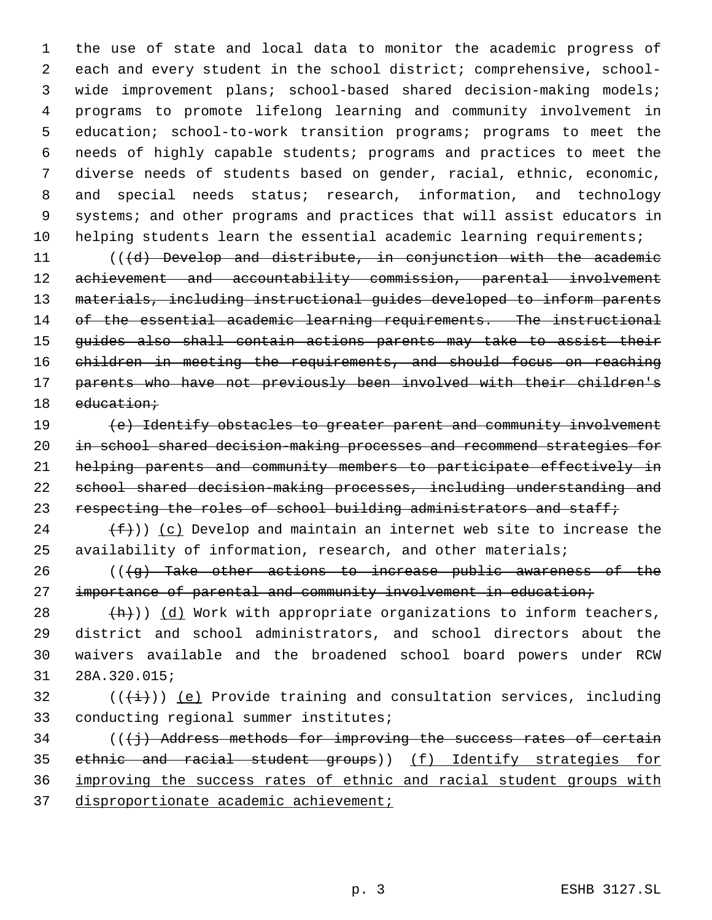the use of state and local data to monitor the academic progress of each and every student in the school district; comprehensive, school- wide improvement plans; school-based shared decision-making models; programs to promote lifelong learning and community involvement in education; school-to-work transition programs; programs to meet the needs of highly capable students; programs and practices to meet the diverse needs of students based on gender, racial, ethnic, economic, and special needs status; research, information, and technology systems; and other programs and practices that will assist educators in helping students learn the essential academic learning requirements;

 (((d) Develop and distribute, in conjunction with the academic 12 achievement and accountability commission, parental involvement materials, including instructional guides developed to inform parents 14 of the essential academic learning requirements. The instructional guides also shall contain actions parents may take to assist their children in meeting the requirements, and should focus on reaching parents who have not previously been involved with their children's 18 education;

 (e) Identify obstacles to greater parent and community involvement 20 in school shared decision-making processes and recommend strategies for helping parents and community members to participate effectively in school shared decision-making processes, including understanding and 23 respecting the roles of school building administrators and staff;

24  $(f)$ ) (c) Develop and maintain an internet web site to increase the availability of information, research, and other materials;

 $((\{g\})$  Take other actions to increase public awareness of the 27 importance of parental and community involvement in education;

 $+h)$ ) (d) Work with appropriate organizations to inform teachers, district and school administrators, and school directors about the waivers available and the broadened school board powers under RCW 28A.320.015;

32 ( $(\overrightarrow{i})$ ) (e) Provide training and consultation services, including conducting regional summer institutes;

 $((\{\})$  Address methods for improving the success rates of certain ethnic and racial student groups)) (f) Identify strategies for improving the success rates of ethnic and racial student groups with disproportionate academic achievement;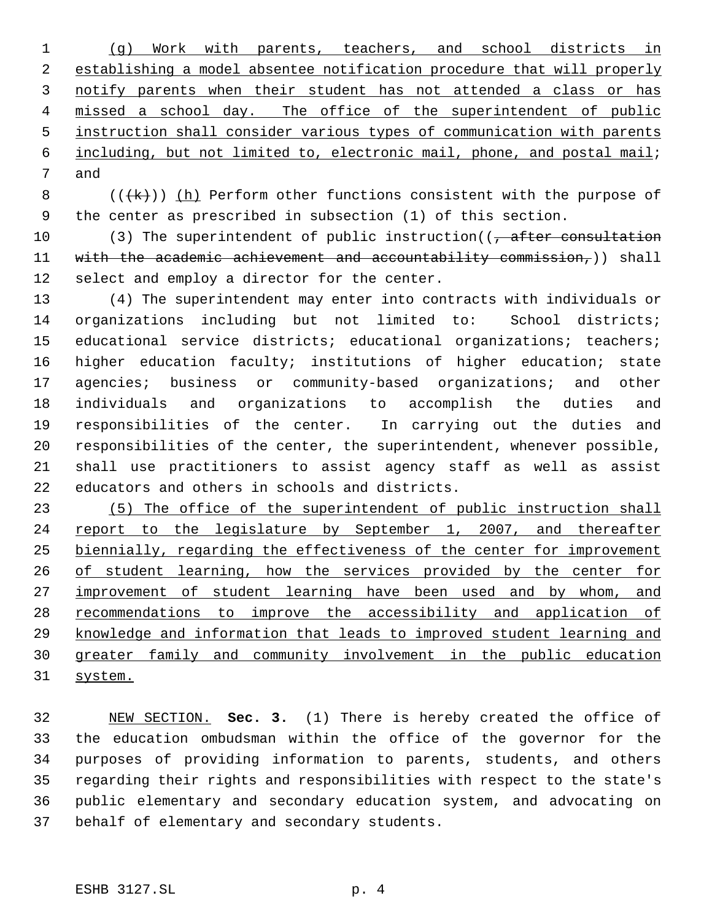(g) Work with parents, teachers, and school districts in establishing a model absentee notification procedure that will properly notify parents when their student has not attended a class or has missed a school day. The office of the superintendent of public instruction shall consider various types of communication with parents including, but not limited to, electronic mail, phone, and postal mail; and

8  $($   $($   $($   $\{$   $\}$   $)$   $)$  (h) Perform other functions consistent with the purpose of the center as prescribed in subsection (1) of this section.

10 (3) The superintendent of public instruction((, after consultation 11 with the academic achievement and accountability commission,)) shall select and employ a director for the center.

 (4) The superintendent may enter into contracts with individuals or organizations including but not limited to: School districts; educational service districts; educational organizations; teachers; higher education faculty; institutions of higher education; state agencies; business or community-based organizations; and other individuals and organizations to accomplish the duties and responsibilities of the center. In carrying out the duties and responsibilities of the center, the superintendent, whenever possible, shall use practitioners to assist agency staff as well as assist educators and others in schools and districts.

 (5) The office of the superintendent of public instruction shall 24 report to the legislature by September 1, 2007, and thereafter biennially, regarding the effectiveness of the center for improvement 26 of student learning, how the services provided by the center for 27 improvement of student learning have been used and by whom, and 28 recommendations to improve the accessibility and application of knowledge and information that leads to improved student learning and greater family and community involvement in the public education system.

 NEW SECTION. **Sec. 3.** (1) There is hereby created the office of the education ombudsman within the office of the governor for the purposes of providing information to parents, students, and others regarding their rights and responsibilities with respect to the state's public elementary and secondary education system, and advocating on behalf of elementary and secondary students.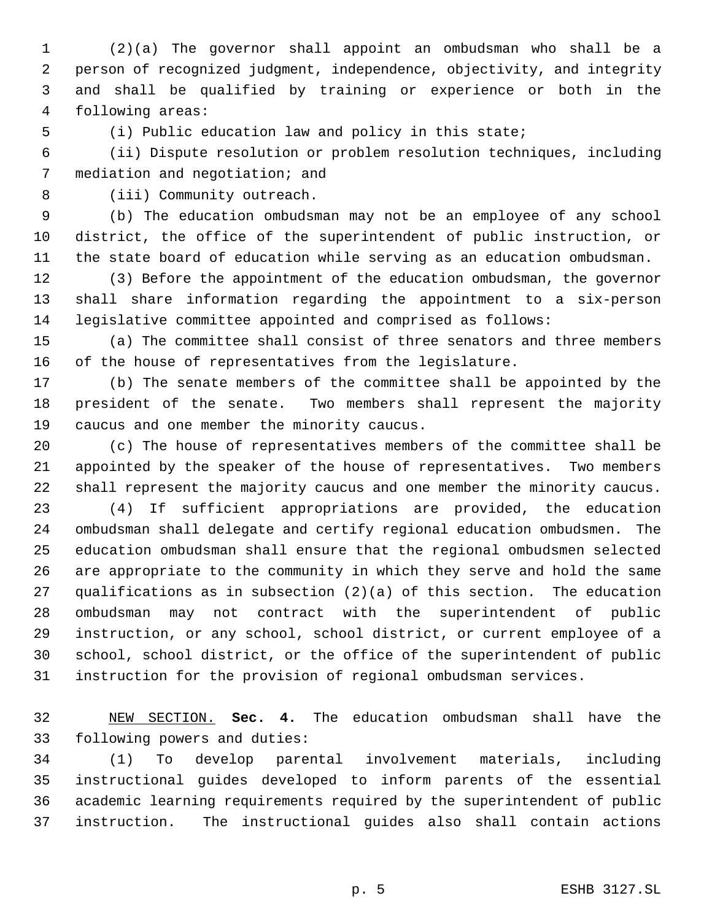(2)(a) The governor shall appoint an ombudsman who shall be a person of recognized judgment, independence, objectivity, and integrity and shall be qualified by training or experience or both in the following areas:

(i) Public education law and policy in this state;

 (ii) Dispute resolution or problem resolution techniques, including mediation and negotiation; and

(iii) Community outreach.

 (b) The education ombudsman may not be an employee of any school district, the office of the superintendent of public instruction, or the state board of education while serving as an education ombudsman.

 (3) Before the appointment of the education ombudsman, the governor shall share information regarding the appointment to a six-person legislative committee appointed and comprised as follows:

 (a) The committee shall consist of three senators and three members of the house of representatives from the legislature.

 (b) The senate members of the committee shall be appointed by the president of the senate. Two members shall represent the majority caucus and one member the minority caucus.

 (c) The house of representatives members of the committee shall be appointed by the speaker of the house of representatives. Two members shall represent the majority caucus and one member the minority caucus.

 (4) If sufficient appropriations are provided, the education ombudsman shall delegate and certify regional education ombudsmen. The education ombudsman shall ensure that the regional ombudsmen selected are appropriate to the community in which they serve and hold the same qualifications as in subsection (2)(a) of this section. The education ombudsman may not contract with the superintendent of public instruction, or any school, school district, or current employee of a school, school district, or the office of the superintendent of public instruction for the provision of regional ombudsman services.

 NEW SECTION. **Sec. 4.** The education ombudsman shall have the following powers and duties:

 (1) To develop parental involvement materials, including instructional guides developed to inform parents of the essential academic learning requirements required by the superintendent of public instruction. The instructional guides also shall contain actions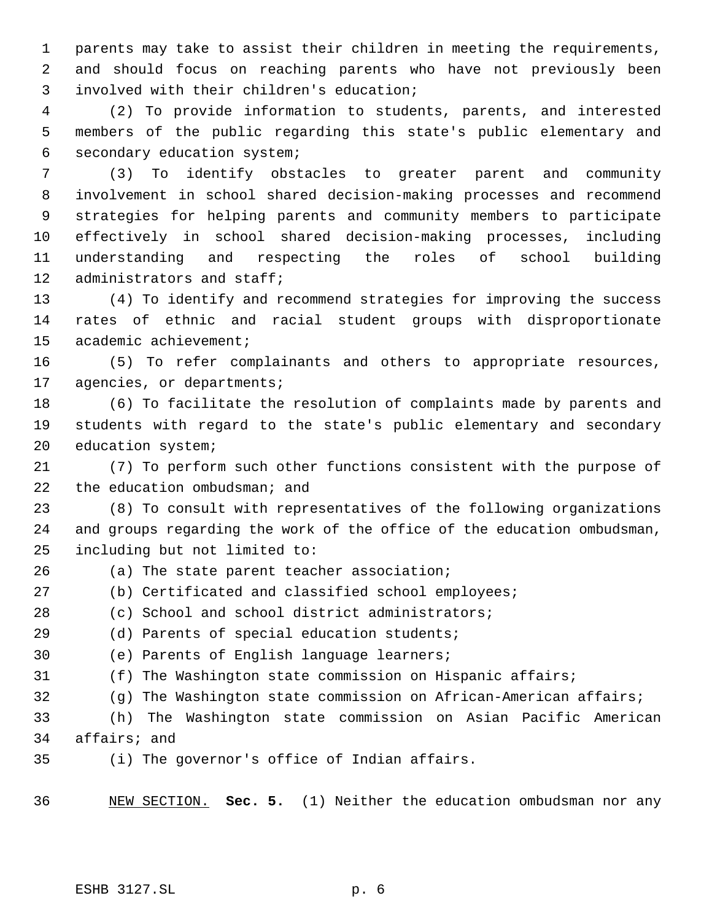parents may take to assist their children in meeting the requirements, and should focus on reaching parents who have not previously been involved with their children's education;

 (2) To provide information to students, parents, and interested members of the public regarding this state's public elementary and secondary education system;

 (3) To identify obstacles to greater parent and community involvement in school shared decision-making processes and recommend strategies for helping parents and community members to participate effectively in school shared decision-making processes, including understanding and respecting the roles of school building administrators and staff;

 (4) To identify and recommend strategies for improving the success rates of ethnic and racial student groups with disproportionate academic achievement;

 (5) To refer complainants and others to appropriate resources, agencies, or departments;

 (6) To facilitate the resolution of complaints made by parents and students with regard to the state's public elementary and secondary education system;

 (7) To perform such other functions consistent with the purpose of 22 the education ombudsman; and

 (8) To consult with representatives of the following organizations and groups regarding the work of the office of the education ombudsman, including but not limited to:

(a) The state parent teacher association;

- (b) Certificated and classified school employees;
- (c) School and school district administrators;
- (d) Parents of special education students;
- (e) Parents of English language learners;
- (f) The Washington state commission on Hispanic affairs;
- (g) The Washington state commission on African-American affairs;

 (h) The Washington state commission on Asian Pacific American affairs; and

(i) The governor's office of Indian affairs.

NEW SECTION. **Sec. 5.** (1) Neither the education ombudsman nor any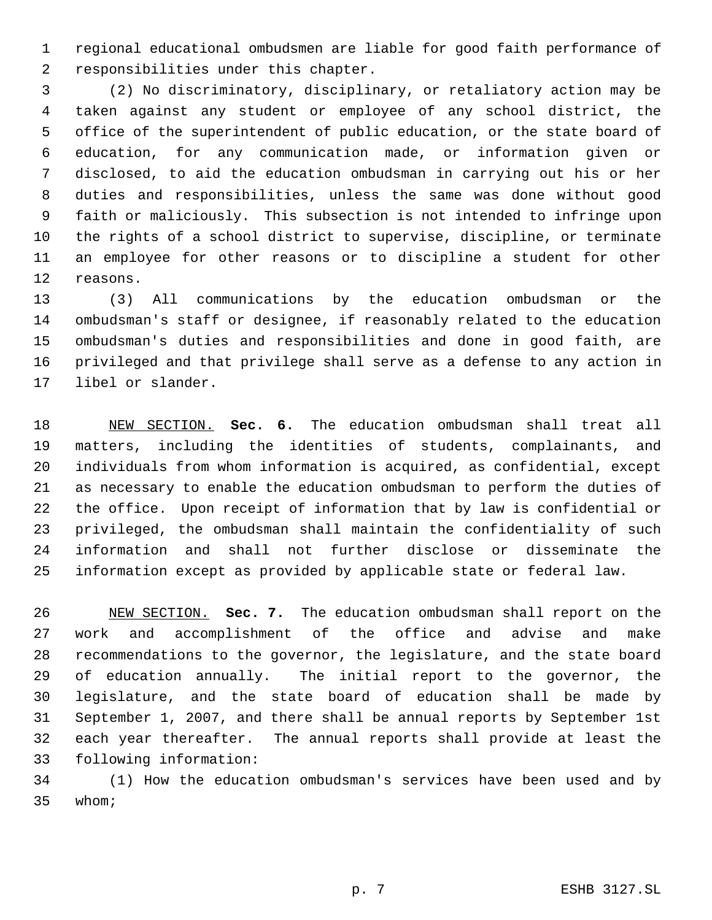regional educational ombudsmen are liable for good faith performance of responsibilities under this chapter.

 (2) No discriminatory, disciplinary, or retaliatory action may be taken against any student or employee of any school district, the office of the superintendent of public education, or the state board of education, for any communication made, or information given or disclosed, to aid the education ombudsman in carrying out his or her duties and responsibilities, unless the same was done without good faith or maliciously. This subsection is not intended to infringe upon the rights of a school district to supervise, discipline, or terminate an employee for other reasons or to discipline a student for other reasons.

 (3) All communications by the education ombudsman or the ombudsman's staff or designee, if reasonably related to the education ombudsman's duties and responsibilities and done in good faith, are privileged and that privilege shall serve as a defense to any action in libel or slander.

 NEW SECTION. **Sec. 6.** The education ombudsman shall treat all matters, including the identities of students, complainants, and individuals from whom information is acquired, as confidential, except as necessary to enable the education ombudsman to perform the duties of the office. Upon receipt of information that by law is confidential or privileged, the ombudsman shall maintain the confidentiality of such information and shall not further disclose or disseminate the information except as provided by applicable state or federal law.

 NEW SECTION. **Sec. 7.** The education ombudsman shall report on the work and accomplishment of the office and advise and make recommendations to the governor, the legislature, and the state board of education annually. The initial report to the governor, the legislature, and the state board of education shall be made by September 1, 2007, and there shall be annual reports by September 1st each year thereafter. The annual reports shall provide at least the following information:

 (1) How the education ombudsman's services have been used and by whom;